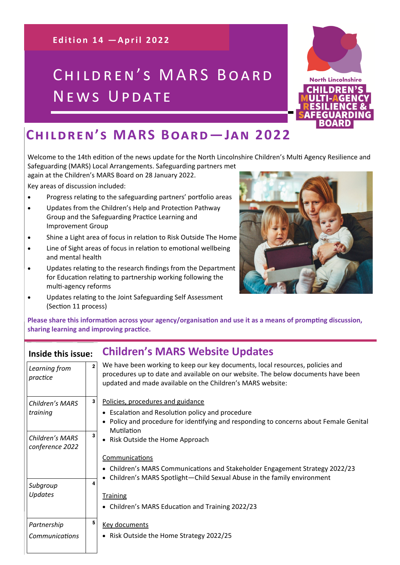### **Edition 14 - April 2022**

# CHILDREN'S MARS BOARD NEWS UPDATE



Welcome to the 14th edition of the news update for the North Lincolnshire Children's Multi Agency Resilience and

Safeguarding (MARS) Local Arrangements. Safeguarding partners met again at the Children's MARS Board on 28 January 2022.

Key areas of discussion included:

- Progress relating to the safeguarding partners' portfolio areas
- Updates from the Children's Help and Protection Pathway Group and the Safeguarding Practice Learning and Improvement Group
- Shine a Light area of focus in relation to Risk Outside The Home
- Line of Sight areas of focus in relation to emotional wellbeing and mental health
- Updates relating to the research findings from the Department for Education relating to partnership working following the multi-agency reforms
- Updates relating to the Joint Safeguarding Self Assessment (Section 11 process)



**Please share this information across your agency/organisation and use it as a means of prompting discussion, sharing learning and improving practice.** 

## **Inside this issue: Children's MARS Website Updates**

| Learning from<br>practice          | $\mathbf{2}$ | We have been working to keep our key documents, local resources, policies and<br>procedures up to date and available on our website. The below documents have been<br>updated and made available on the Children's MARS website: |
|------------------------------------|--------------|----------------------------------------------------------------------------------------------------------------------------------------------------------------------------------------------------------------------------------|
| Children's MARS                    | 3            | Policies, procedures and guidance                                                                                                                                                                                                |
| training                           |              | • Escalation and Resolution policy and procedure<br>• Policy and procedure for identifying and responding to concerns about Female Genital<br>Mutilation                                                                         |
| Children's MARS<br>conference 2022 | 3            | • Risk Outside the Home Approach                                                                                                                                                                                                 |
|                                    |              | Communications                                                                                                                                                                                                                   |
|                                    |              | • Children's MARS Communications and Stakeholder Engagement Strategy 2022/23<br>• Children's MARS Spotlight-Child Sexual Abuse in the family environment                                                                         |
| Subgroup                           | 4            |                                                                                                                                                                                                                                  |
| Updates                            |              | <b>Training</b>                                                                                                                                                                                                                  |
|                                    |              | • Children's MARS Education and Training 2022/23                                                                                                                                                                                 |
| Partnership                        | 5            | <b>Key documents</b>                                                                                                                                                                                                             |
| Communications                     |              | • Risk Outside the Home Strategy 2022/25                                                                                                                                                                                         |
|                                    |              |                                                                                                                                                                                                                                  |

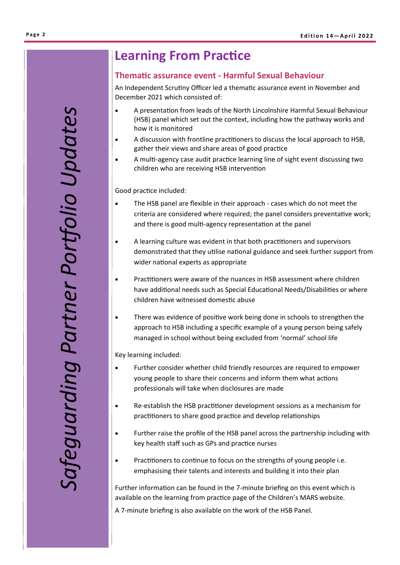# afeguarding Partner Portfolio Updates *Safeguarding Partner Portfolio Updates*

# **Learning From Practice**

### **Thematic assurance event - Harmful Sexual Behaviour**

An Independent Scrutiny Officer led a thematic assurance event in November and December 2021 which consisted of:

- A presentation from leads of the North Lincolnshire Harmful Sexual Behaviour (HSB) panel which set out the context, including how the pathway works and how it is monitored
- A discussion with frontline practitioners to discuss the local approach to HSB, gather their views and share areas of good practice
- A multi-agency case audit practice learning line of sight event discussing two children who are receiving HSB intervention

Good practice included:

- The HSB panel are flexible in their approach cases which do not meet the criteria are considered where required; the panel considers preventative work; and there is good multi-agency representation at the panel
- A learning culture was evident in that both practitioners and supervisors demonstrated that they utilise national guidance and seek further support from wider national experts as appropriate
- Practitioners were aware of the nuances in HSB assessment where children have additional needs such as Special Educational Needs/Disabilities or where children have witnessed domestic abuse
- There was evidence of positive work being done in schools to strengthen the approach to HSB including a specific example of a young person being safely managed in school without being excluded from 'normal' school life

Key learning included:

- Further consider whether child friendly resources are required to empower young people to share their concerns and inform them what actions professionals will take when disclosures are made
- Re-establish the HSB practitioner development sessions as a mechanism for practitioners to share good practice and develop relationships
- Further raise the profile of the HSB panel across the partnership including with key health staff such as GPs and practice nurses
- Practitioners to continue to focus on the strengths of young people i.e. emphasising their talents and interests and building it into their plan

Further information can be found in the 7-minute briefing on this event which is available on the learning from practice page of the Children's MARS website.

A 7-minute briefing is also available on the work of the HSB Panel.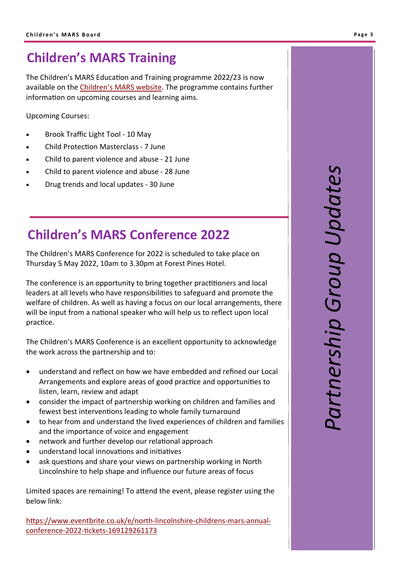# **Children's MARS Training**

The Children's MARS Education and Training programme 2022/23 is now available on the Children'[s MARS website.](http://www.northlincscmars.co.uk/training) The programme contains further information on upcoming courses and learning aims.

Upcoming Courses:

- Brook Traffic Light Tool 10 May
- Child Protection Masterclass 7 June
- Child to parent violence and abuse 21 June
- Child to parent violence and abuse 28 June
- Drug trends and local updates 30 June

# **Children's MARS Conference 2022**

The Children's MARS Conference for 2022 is scheduled to take place on Thursday 5 May 2022, 10am to 3.30pm at Forest Pines Hotel.

The conference is an opportunity to bring together practitioners and local leaders at all levels who have responsibilities to safeguard and promote the welfare of children. As well as having a focus on our local arrangements, there will be input from a national speaker who will help us to reflect upon local practice.

The Children's MARS Conference is an excellent opportunity to acknowledge the work across the partnership and to:

- understand and reflect on how we have embedded and refined our Local Arrangements and explore areas of good practice and opportunities to listen, learn, review and adapt
- consider the impact of partnership working on children and families and fewest best interventions leading to whole family turnaround
- to hear from and understand the lived experiences of children and families and the importance of voice and engagement
- network and further develop our relational approach
- understand local innovations and initiatives
- ask questions and share your views on partnership working in North Lincolnshire to help shape and influence our future areas of focus

Limited spaces are remaining! To attend the event, please register using the below link:

[https://www.eventbrite.co.uk/e/north](https://www.eventbrite.co.uk/e/north-lincolnshire-childrens-mars-annual-conference-2022-tickets-169129261173)-lincolnshire-childrens-mars-annualconference-2022-tickets-[169129261173](https://www.eventbrite.co.uk/e/north-lincolnshire-childrens-mars-annual-conference-2022-tickets-169129261173)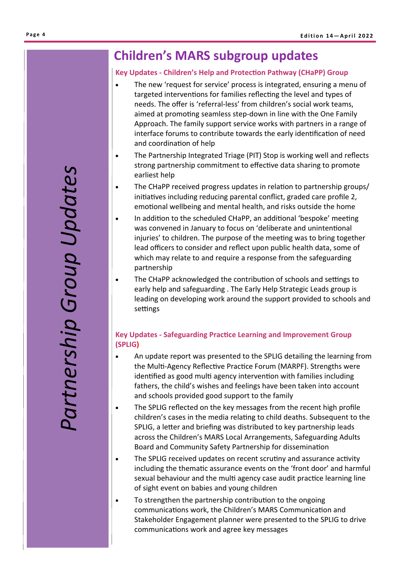# **Children's MARS subgroup updates**

### **Key Updates - Children's Help and Protection Pathway (CHaPP) Group**

- The new 'request for service' process is integrated, ensuring a menu of targeted interventions for families reflecting the level and types of needs. The offer is 'referral-less' from children's social work teams, aimed at promoting seamless step-down in line with the One Family Approach. The family support service works with partners in a range of interface forums to contribute towards the early identification of need and coordination of help
- The Partnership Integrated Triage (PIT) Stop is working well and reflects strong partnership commitment to effective data sharing to promote earliest help
- The CHaPP received progress updates in relation to partnership groups/ initiatives including reducing parental conflict, graded care profile 2, emotional wellbeing and mental health, and risks outside the home
- In addition to the scheduled CHaPP, an additional 'bespoke' meeting was convened in January to focus on 'deliberate and unintentional injuries' to children. The purpose of the meeting was to bring together lead officers to consider and reflect upon public health data, some of which may relate to and require a response from the safeguarding partnership
- The CHaPP acknowledged the contribution of schools and settings to early help and safeguarding . The Early Help Strategic Leads group is leading on developing work around the support provided to schools and settings

### **Key Updates - Safeguarding Practice Learning and Improvement Group (SPLIG)**

- An update report was presented to the SPLIG detailing the learning from the Multi-Agency Reflective Practice Forum (MARPF). Strengths were identified as good multi agency intervention with families including fathers, the child's wishes and feelings have been taken into account and schools provided good support to the family
- The SPLIG reflected on the key messages from the recent high profile children's cases in the media relating to child deaths. Subsequent to the SPLIG, a letter and briefing was distributed to key partnership leads across the Children's MARS Local Arrangements, Safeguarding Adults Board and Community Safety Partnership for dissemination
- The SPLIG received updates on recent scrutiny and assurance activity including the thematic assurance events on the 'front door' and harmful sexual behaviour and the multi agency case audit practice learning line of sight event on babies and young children
- To strengthen the partnership contribution to the ongoing communications work, the Children's MARS Communication and Stakeholder Engagement planner were presented to the SPLIG to drive communications work and agree key messages

Partnership Group Updates *Partnership Group Updates*